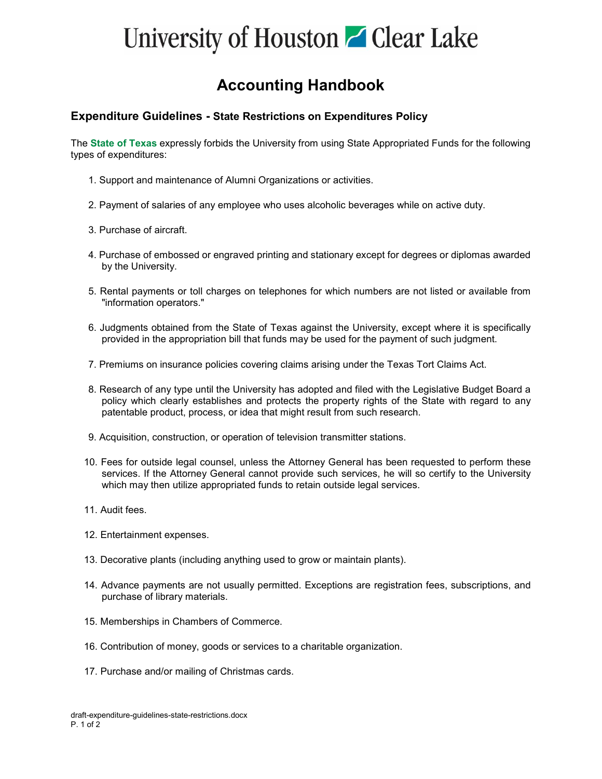## University of Houston **C** Clear Lake

#### **Accounting Handbook**

#### **Expenditure Guidelines - State Restrictions on Expenditures Policy**

The **[State of Texas](https://fmx.cpa.texas.gov/fm/pubs/purchase/restricted/index.php)** expressly forbids the University from using State Appropriated Funds for the following types of expenditures:

- 1. Support and maintenance of Alumni Organizations or activities.
- 2. Payment of salaries of any employee who uses alcoholic beverages while on active duty.
- 3. Purchase of aircraft.
- 4. Purchase of embossed or engraved printing and stationary except for degrees or diplomas awarded by the University.
- 5. Rental payments or toll charges on telephones for which numbers are not listed or available from "information operators."
- 6. Judgments obtained from the State of Texas against the University, except where it is specifically provided in the appropriation bill that funds may be used for the payment of such judgment.
- 7. Premiums on insurance policies covering claims arising under the Texas Tort Claims Act.
- 8. Research of any type until the University has adopted and filed with the Legislative Budget Board a policy which clearly establishes and protects the property rights of the State with regard to any patentable product, process, or idea that might result from such research.
- 9. Acquisition, construction, or operation of television transmitter stations.
- 10. Fees for outside legal counsel, unless the Attorney General has been requested to perform these services. If the Attorney General cannot provide such services, he will so certify to the University which may then utilize appropriated funds to retain outside legal services.
- 11. Audit fees.
- 12. Entertainment expenses.
- 13. Decorative plants (including anything used to grow or maintain plants).
- 14. Advance payments are not usually permitted. Exceptions are registration fees, subscriptions, and purchase of library materials.
- 15. Memberships in Chambers of Commerce.
- 16. Contribution of money, goods or services to a charitable organization.
- 17. Purchase and/or mailing of Christmas cards.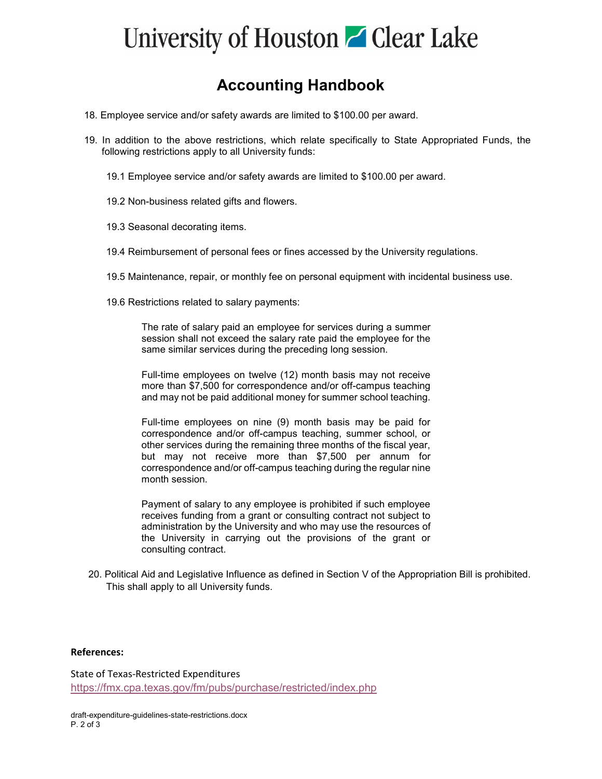### University of Houston **C** Clear Lake

### **Accounting Handbook**

- 18. Employee service and/or safety awards are limited to \$100.00 per award.
- 19. In addition to the above restrictions, which relate specifically to State Appropriated Funds, the following restrictions apply to all University funds:
	- 19.1 Employee service and/or safety awards are limited to \$100.00 per award.
	- 19.2 Non-business related gifts and flowers.
	- 19.3 Seasonal decorating items.
	- 19.4 Reimbursement of personal fees or fines accessed by the University regulations.
	- 19.5 Maintenance, repair, or monthly fee on personal equipment with incidental business use.
	- 19.6 Restrictions related to salary payments:

The rate of salary paid an employee for services during a summer session shall not exceed the salary rate paid the employee for the same similar services during the preceding long session.

Full-time employees on twelve (12) month basis may not receive more than \$7,500 for correspondence and/or off-campus teaching and may not be paid additional money for summer school teaching.

Full-time employees on nine (9) month basis may be paid for correspondence and/or off-campus teaching, summer school, or other services during the remaining three months of the fiscal year, but may not receive more than \$7,500 per annum for correspondence and/or off-campus teaching during the regular nine month session.

Payment of salary to any employee is prohibited if such employee receives funding from a grant or consulting contract not subject to administration by the University and who may use the resources of the University in carrying out the provisions of the grant or consulting contract.

20. Political Aid and Legislative Influence as defined in Section V of the Appropriation Bill is prohibited. This shall apply to all University funds.

#### **References:**

State of Texas-Restricted Expenditures <https://fmx.cpa.texas.gov/fm/pubs/purchase/restricted/index.php>